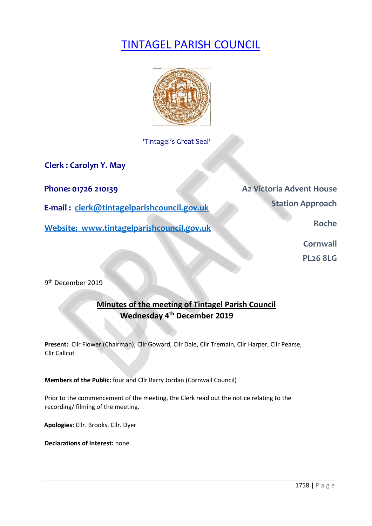# TINTAGEL PARISH COUNCIL



'Tintagel's Great Seal'

**Clerk : Carolyn Y. May** 

**E-mail : clerk@tintagelparishcouncil.gov.uk** 

**Website: www.tintagelparishcouncil.gov.uk** 

**Phone: 01726 210139 A2 Victoria Advent House Station Approach** 

**Roche** 

**Cornwall** 

**PL26 8LG** 

9 th December 2019

# **Minutes of the meeting of Tintagel Parish Council Wednesday 4 th December 2019**

**Present:** Cllr Flower (Chairman), Cllr Goward, Cllr Dale, Cllr Tremain, Cllr Harper, Cllr Pearse, Cllr Callcut

**Members of the Public:** four and Cllr Barry Jordan (Cornwall Council)

Prior to the commencement of the meeting, the Clerk read out the notice relating to the recording/ filming of the meeting.

**Apologies:** Cllr. Brooks, Cllr. Dyer

**Declarations of Interest:** none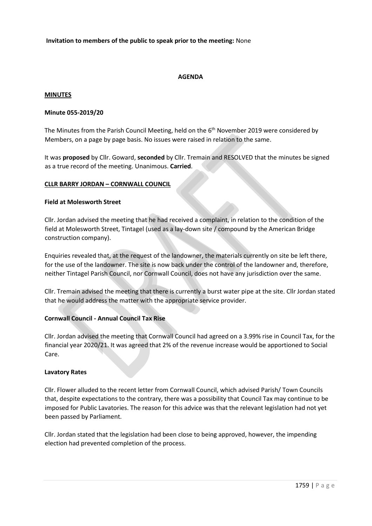#### **Invitation to members of the public to speak prior to the meeting:** None

# **AGENDA**

#### **MINUTES**

#### **Minute 055-2019/20**

The Minutes from the Parish Council Meeting, held on the 6<sup>th</sup> November 2019 were considered by Members, on a page by page basis. No issues were raised in relation to the same.

It was **proposed** by Cllr. Goward, **seconded** by Cllr. Tremain and RESOLVED that the minutes be signed as a true record of the meeting. Unanimous. **Carried**.

#### **CLLR BARRY JORDAN – CORNWALL COUNCIL**

#### **Field at Molesworth Street**

Cllr. Jordan advised the meeting that he had received a complaint, in relation to the condition of the field at Molesworth Street, Tintagel (used as a lay-down site / compound by the American Bridge construction company).

Enquiries revealed that, at the request of the landowner, the materials currently on site be left there, for the use of the landowner. The site is now back under the control of the landowner and, therefore, neither Tintagel Parish Council, nor Cornwall Council, does not have any jurisdiction over the same.

Cllr. Tremain advised the meeting that there is currently a burst water pipe at the site. Cllr Jordan stated that he would address the matter with the appropriate service provider.

#### **Cornwall Council - Annual Council Tax Rise**

Cllr. Jordan advised the meeting that Cornwall Council had agreed on a 3.99% rise in Council Tax, for the financial year 2020/21. It was agreed that 2% of the revenue increase would be apportioned to Social Care.

#### **Lavatory Rates**

Cllr. Flower alluded to the recent letter from Cornwall Council, which advised Parish/ Town Councils that, despite expectations to the contrary, there was a possibility that Council Tax may continue to be imposed for Public Lavatories. The reason for this advice was that the relevant legislation had not yet been passed by Parliament.

Cllr. Jordan stated that the legislation had been close to being approved, however, the impending election had prevented completion of the process.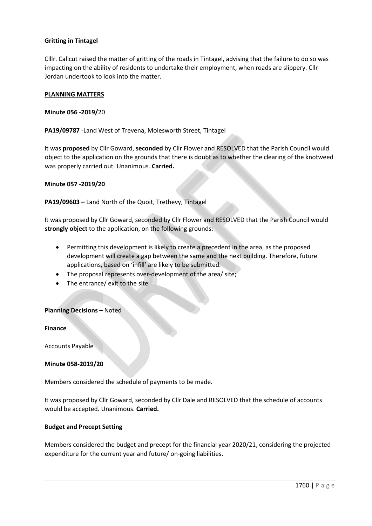# **Gritting in Tintagel**

Clllr. Callcut raised the matter of gritting of the roads in Tintagel, advising that the failure to do so was impacting on the ability of residents to undertake their employment, when roads are slippery. Cllr Jordan undertook to look into the matter.

#### **PLANNING MATTERS**

**Minute 056 -2019/**20

**PA19/09787** -Land West of Trevena, Molesworth Street, Tintagel

It was **proposed** by Cllr Goward, **seconded** by Cllr Flower and RESOLVED that the Parish Council would object to the application on the grounds that there is doubt as to whether the clearing of the knotweed was properly carried out. Unanimous. **Carried.**

#### **Minute 057 -2019/20**

**PA19/09603 –** Land North of the Quoit, Trethevy, Tintagel

It was proposed by Cllr Goward, seconded by Cllr Flower and RESOLVED that the Parish Council would **strongly object** to the application, on the following grounds:

- Permitting this development is likely to create a precedent in the area, as the proposed development will create a gap between the same and the next building. Therefore, future applications, based on 'infill' are likely to be submitted.
- The proposal represents over-development of the area/ site;
- The entrance/ exit to the site

#### **Planning Decisions** – Noted

**Finance** 

Accounts Payable

#### **Minute 058-2019/20**

Members considered the schedule of payments to be made.

It was proposed by Cllr Goward, seconded by Cllr Dale and RESOLVED that the schedule of accounts would be accepted. Unanimous. **Carried.**

#### **Budget and Precept Setting**

Members considered the budget and precept for the financial year 2020/21, considering the projected expenditure for the current year and future/ on-going liabilities.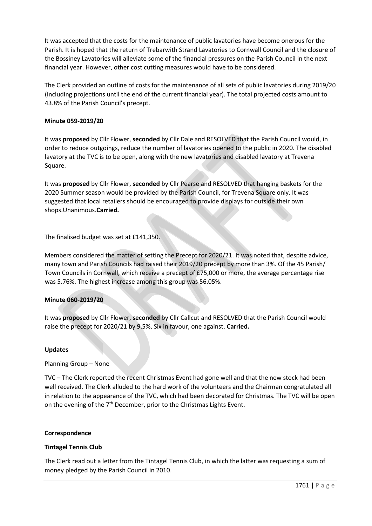It was accepted that the costs for the maintenance of public lavatories have become onerous for the Parish. It is hoped that the return of Trebarwith Strand Lavatories to Cornwall Council and the closure of the Bossiney Lavatories will alleviate some of the financial pressures on the Parish Council in the next financial year. However, other cost cutting measures would have to be considered.

The Clerk provided an outline of costs for the maintenance of all sets of public lavatories during 2019/20 (including projections until the end of the current financial year). The total projected costs amount to 43.8% of the Parish Council's precept.

#### **Minute 059-2019/20**

It was **proposed** by Cllr Flower, **seconded** by Cllr Dale and RESOLVED that the Parish Council would, in order to reduce outgoings, reduce the number of lavatories opened to the public in 2020. The disabled lavatory at the TVC is to be open, along with the new lavatories and disabled lavatory at Trevena Square.

It was **proposed** by Cllr Flower, **seconded** by Cllr Pearse and RESOLVED that hanging baskets for the 2020 Summer season would be provided by the Parish Council, for Trevena Square only. It was suggested that local retailers should be encouraged to provide displays for outside their own shops.Unanimous.**Carried.**

The finalised budget was set at £141,350.

Members considered the matter of setting the Precept for 2020/21. It was noted that, despite advice, many town and Parish Councils had raised their 2019/20 precept by more than 3%. Of the 45 Parish/ Town Councils in Cornwall, which receive a precept of £75,000 or more, the average percentage rise was 5.76%. The highest increase among this group was 56.05%.

#### **Minute 060-2019/20**

It was **proposed** by Cllr Flower, **seconded** by Cllr Callcut and RESOLVED that the Parish Council would raise the precept for 2020/21 by 9.5%. Six in favour, one against. **Carried.**

#### **Updates**

Planning Group – None

TVC – The Clerk reported the recent Christmas Event had gone well and that the new stock had been well received. The Clerk alluded to the hard work of the volunteers and the Chairman congratulated all in relation to the appearance of the TVC, which had been decorated for Christmas. The TVC will be open on the evening of the 7<sup>th</sup> December, prior to the Christmas Lights Event.

#### **Correspondence**

#### **Tintagel Tennis Club**

The Clerk read out a letter from the Tintagel Tennis Club, in which the latter was requesting a sum of money pledged by the Parish Council in 2010.